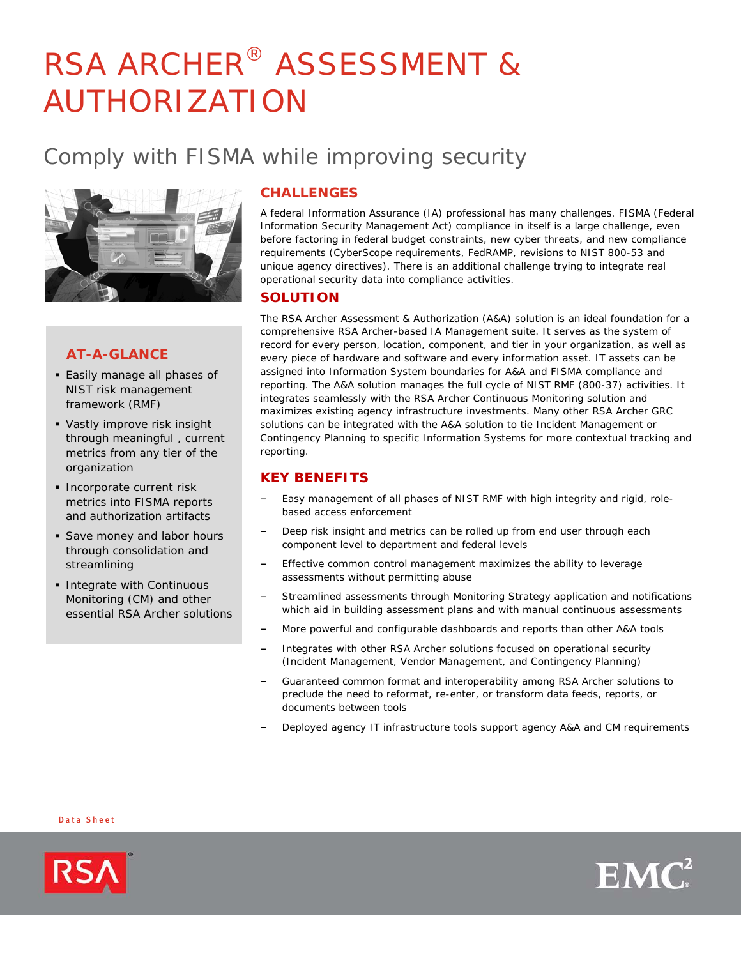# RSA ARCHER® ASSESSMENT & AUTHORIZATION

# Comply with FISMA while improving security



# **AT-A-GLANCE**

- Easily manage all phases of NIST risk management framework (RMF)
- Vastly improve risk insight through meaningful , current metrics from any tier of the organization
- **Incorporate current risk** metrics into FISMA reports and authorization artifacts
- **Save money and labor hours** through consolidation and streamlining
- **Integrate with Continuous** Monitoring (CM) and other essential RSA Archer solutions

# **CHALLENGES**

A federal Information Assurance (IA) professional has many challenges. FISMA (Federal Information Security Management Act) compliance in itself is a large challenge, even before factoring in federal budget constraints, new cyber threats, and new compliance requirements (CyberScope requirements, FedRAMP, revisions to NIST 800-53 and unique agency directives). There is an additional challenge trying to integrate real operational security data into compliance activities.

## **SOLUTION**

The RSA Archer Assessment & Authorization (A&A) solution is an ideal foundation for a comprehensive RSA Archer-based IA Management suite. It serves as the system of record for every person, location, component, and tier in your organization, as well as every piece of hardware and software and every information asset. IT assets can be assigned into Information System boundaries for A&A and FISMA compliance and reporting. The A&A solution manages the full cycle of NIST RMF (800-37) activities. It integrates seamlessly with the RSA Archer Continuous Monitoring solution and maximizes existing agency infrastructure investments. Many other RSA Archer GRC solutions can be integrated with the A&A solution to tie Incident Management or Contingency Planning to specific Information Systems for more contextual tracking and reporting.

# **KEY BENEFITS**

- Easy management of all phases of NIST RMF with high integrity and rigid, rolebased access enforcement
- Deep risk insight and metrics can be rolled up from end user through each component level to department and federal levels
- Effective common control management maximizes the ability to leverage assessments without permitting abuse
- Streamlined assessments through Monitoring Strategy application and notifications which aid in building assessment plans and with manual continuous assessments
- More powerful and configurable dashboards and reports than other A&A tools
- Integrates with other RSA Archer solutions focused on operational security (Incident Management, Vendor Management, and Contingency Planning)
- Guaranteed common format and interoperability among RSA Archer solutions to preclude the need to reformat, re-enter, or transform data feeds, reports, or documents between tools
- Deployed agency IT infrastructure tools support agency A&A and CM requirements

#### D ata S heet